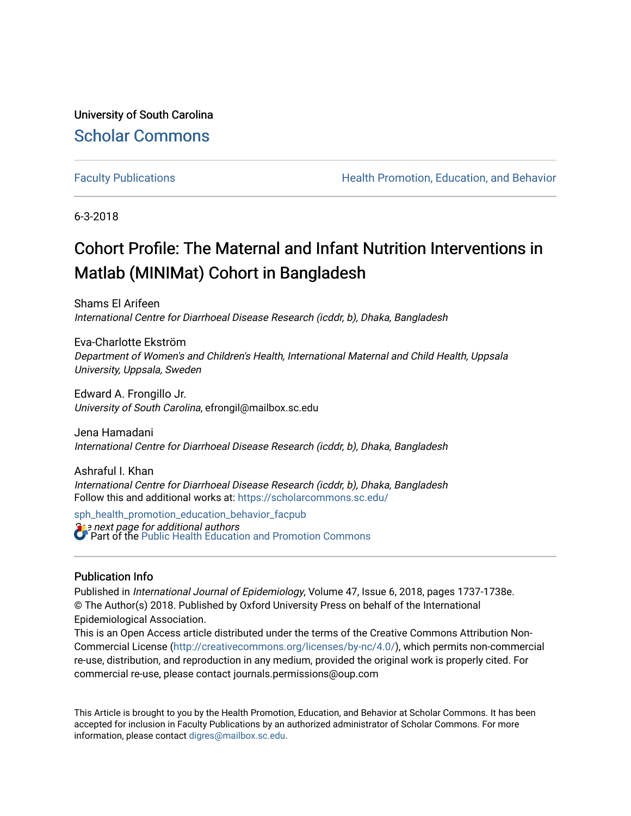University of South Carolina [Scholar Commons](https://scholarcommons.sc.edu/) 

[Faculty Publications](https://scholarcommons.sc.edu/sph_health_promotion_education_behavior_facpub) **Health Promotion, Education, and Behavior** Health Promotion, Education, and Behavior

6-3-2018

## Cohort Profile: The Maternal and Infant Nutrition Interventions in Matlab (MINIMat) Cohort in Bangladesh

Shams El Arifeen International Centre for Diarrhoeal Disease Research (icddr, b), Dhaka, Bangladesh

Eva-Charlotte Ekström Department of Women's and Children's Health, International Maternal and Child Health, Uppsala University, Uppsala, Sweden

Edward A. Frongillo Jr. University of South Carolina, efrongil@mailbox.sc.edu

Jena Hamadani International Centre for Diarrhoeal Disease Research (icddr, b), Dhaka, Bangladesh

Ashraful I. Khan International Centre for Diarrhoeal Disease Research (icddr, b), Dhaka, Bangladesh Follow this and additional works at: [https://scholarcommons.sc.edu/](https://scholarcommons.sc.edu/sph_health_promotion_education_behavior_facpub?utm_source=scholarcommons.sc.edu%2Fsph_health_promotion_education_behavior_facpub%2F322&utm_medium=PDF&utm_campaign=PDFCoverPages)

**S** a next page for additional authors [sph\\_health\\_promotion\\_education\\_behavior\\_facpub](https://scholarcommons.sc.edu/sph_health_promotion_education_behavior_facpub?utm_source=scholarcommons.sc.edu%2Fsph_health_promotion_education_behavior_facpub%2F322&utm_medium=PDF&utm_campaign=PDFCoverPages) Part of the [Public Health Education and Promotion Commons](http://network.bepress.com/hgg/discipline/743?utm_source=scholarcommons.sc.edu%2Fsph_health_promotion_education_behavior_facpub%2F322&utm_medium=PDF&utm_campaign=PDFCoverPages) 

## Publication Info

Published in International Journal of Epidemiology, Volume 47, Issue 6, 2018, pages 1737-1738e. © The Author(s) 2018. Published by Oxford University Press on behalf of the International Epidemiological Association.

This is an Open Access article distributed under the terms of the Creative Commons Attribution Non-Commercial License ([http://creativecommons.org/licenses/by-nc/4.0/\)](http://creativecommons.org/licenses/by-nc/4.0/), which permits non-commercial re-use, distribution, and reproduction in any medium, provided the original work is properly cited. For commercial re-use, please contact journals.permissions@oup.com

This Article is brought to you by the Health Promotion, Education, and Behavior at Scholar Commons. It has been accepted for inclusion in Faculty Publications by an authorized administrator of Scholar Commons. For more information, please contact [digres@mailbox.sc.edu.](mailto:digres@mailbox.sc.edu)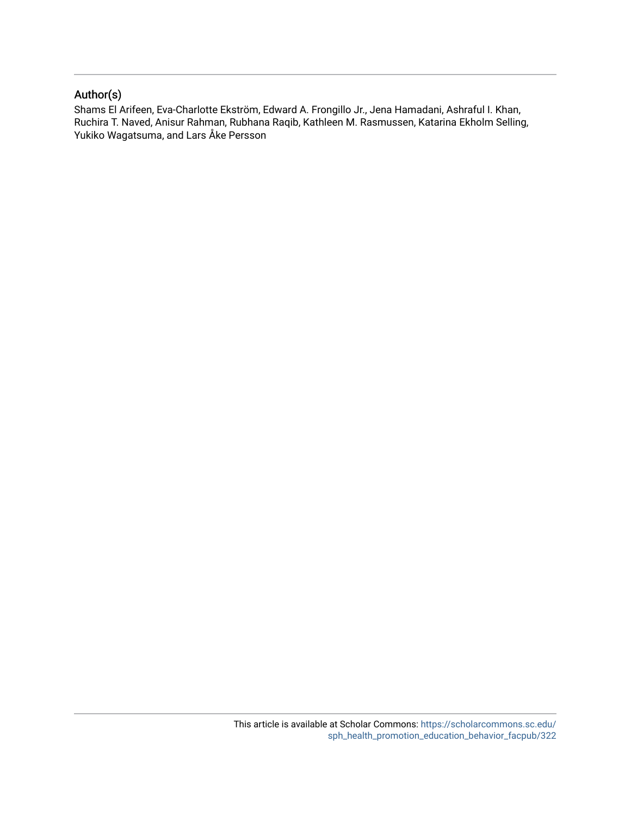## Author(s)

Shams El Arifeen, Eva-Charlotte Ekström, Edward A. Frongillo Jr., Jena Hamadani, Ashraful I. Khan, Ruchira T. Naved, Anisur Rahman, Rubhana Raqib, Kathleen M. Rasmussen, Katarina Ekholm Selling, Yukiko Wagatsuma, and Lars Åke Persson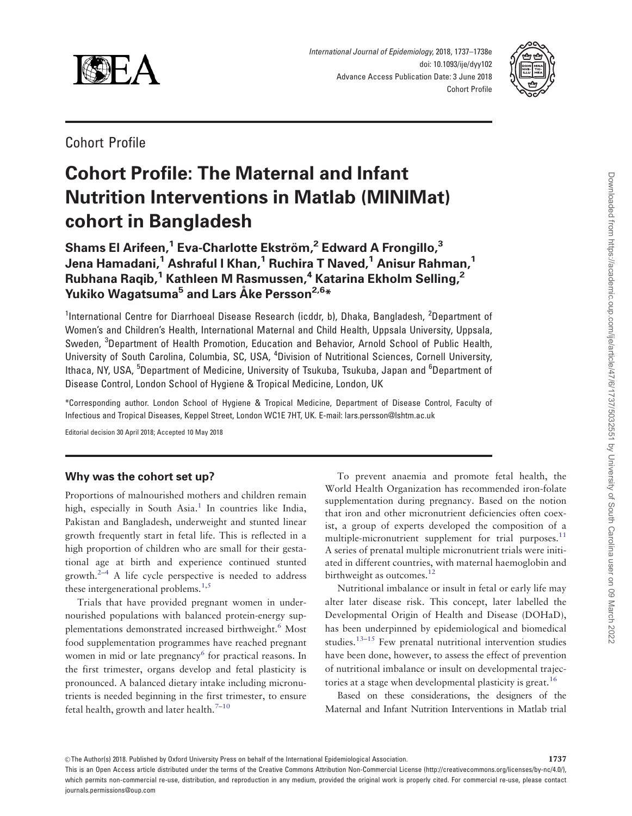<span id="page-2-0"></span>

International Journal of Epidemiology, 2018, 1737–1738e doi: 10.1093/ije/dyy102 Advance Access Publication Date: 3 June 2018 Cohort Profile



Cohort Profile

# Cohort Profile: The Maternal and Infant Nutrition Interventions in Matlab (MINIMat) cohort in Bangladesh

Shams El Arifeen,<sup>1</sup> Eva-Charlotte Ekström,<sup>2</sup> Edward A Frongillo,<sup>3</sup> Jena Hamadani,<sup>1</sup> Ashraful I Khan,<sup>1</sup> Ruchira T Naved,<sup>1</sup> Anisur Rahman,<sup>1</sup> Rubhana Raqib,<sup>1</sup> Kathleen M Rasmussen,<sup>4</sup> Katarina Ekholm Selling,<sup>2</sup> Yukiko Wagatsuma<sup>5</sup> and Lars Åke Persson<sup>2,6</sup>\*

<sup>1</sup>International Centre for Diarrhoeal Disease Research (icddr, b), Dhaka, Bangladesh, <sup>2</sup>Department of Women's and Children's Health, International Maternal and Child Health, Uppsala University, Uppsala, Sweden, <sup>3</sup>Department of Health Promotion, Education and Behavior, Arnold School of Public Health, University of South Carolina, Columbia, SC, USA, <sup>4</sup>Division of Nutritional Sciences, Cornell University, lthaca, NY, USA, <sup>5</sup>Department of Medicine, University of Tsukuba, Tsukuba, Japan and <sup>6</sup>Department of Disease Control, London School of Hygiene & Tropical Medicine, London, UK

\*Corresponding author. London School of Hygiene & Tropical Medicine, Department of Disease Control, Faculty of Infectious and Tropical Diseases, Keppel Street, London WC1E 7HT, UK. E-mail: lars.persson@lshtm.ac.uk

Editorial decision 30 April 2018; Accepted 10 May 2018

#### Why was the cohort set up?

Proportions of malnourished mothers and children remain high, especially in South Asia.<sup>[1](#page-7-0)</sup> In countries like India, Pakistan and Bangladesh, underweight and stunted linear growth frequently start in fetal life. This is reflected in a high proportion of children who are small for their gestational age at birth and experience continued stunted growth. $2-4$  $2-4$  A life cycle perspective is needed to address these intergenerational problems.<sup>1,5</sup>

Trials that have provided pregnant women in undernourished populations with balanced protein-energy supplementations demonstrated increased birthweight.<sup>6</sup> Most food supplementation programmes have reached pregnant women in mid or late pregnancy<sup>[6](#page-7-0)</sup> for practical reasons. In the first trimester, organs develop and fetal plasticity is pronounced. A balanced dietary intake including micronutrients is needed beginning in the first trimester, to ensure fetal health, growth and later health. $7-10$ 

To prevent anaemia and promote fetal health, the World Health Organization has recommended iron-folate supplementation during pregnancy. Based on the notion that iron and other micronutrient deficiencies often coexist, a group of experts developed the composition of a multiple-micronutrient supplement for trial purposes.<sup>11</sup> A series of prenatal multiple micronutrient trials were initiated in different countries, with maternal haemoglobin and birthweight as outcomes.<sup>[12](#page-7-0)</sup>

Nutritional imbalance or insult in fetal or early life may alter later disease risk. This concept, later labelled the Developmental Origin of Health and Disease (DOHaD), has been underpinned by epidemiological and biomedical studies.<sup>[13–15](#page-8-0)</sup> Few prenatal nutritional intervention studies have been done, however, to assess the effect of prevention of nutritional imbalance or insult on developmental trajec-tories at a stage when developmental plasticity is great.<sup>[16](#page-8-0)</sup>

Based on these considerations, the designers of the Maternal and Infant Nutrition Interventions in Matlab trial

This is an Open Access article distributed under the terms of the Creative Commons Attribution Non-Commercial License (http://creativecommons.org/licenses/by-nc/4.0/), which permits non-commercial re-use, distribution, and reproduction in any medium, provided the original work is properly cited. For commercial re-use, please contact journals.permissions@oup.com

 $\heartsuit$ The Author(s) 2018. Published by Oxford University Press on behalf of the International Epidemiological Association.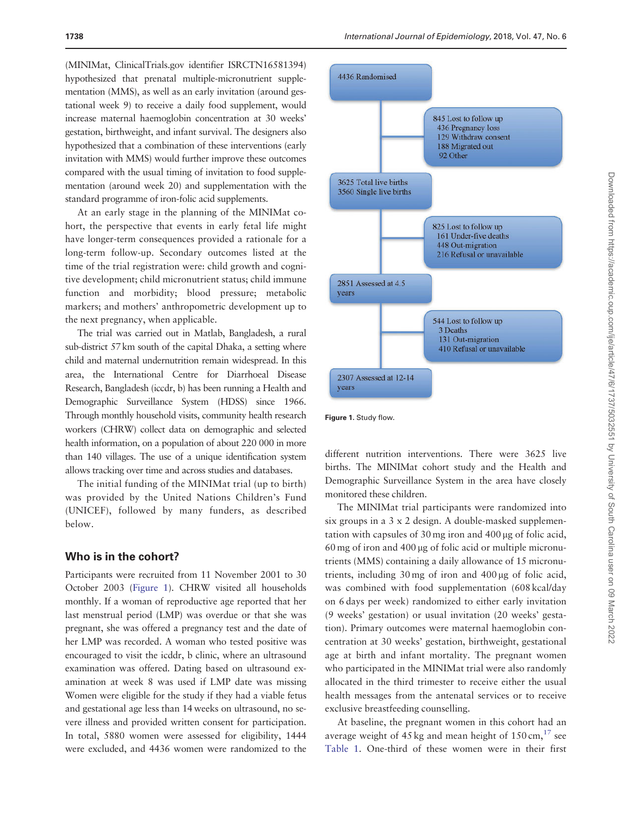<span id="page-3-0"></span>(MINIMat, ClinicalTrials.gov identifier ISRCTN16581394) hypothesized that prenatal multiple-micronutrient supplementation (MMS), as well as an early invitation (around gestational week 9) to receive a daily food supplement, would increase maternal haemoglobin concentration at 30 weeks' gestation, birthweight, and infant survival. The designers also hypothesized that a combination of these interventions (early invitation with MMS) would further improve these outcomes compared with the usual timing of invitation to food supplementation (around week 20) and supplementation with the standard programme of iron-folic acid supplements.

At an early stage in the planning of the MINIMat cohort, the perspective that events in early fetal life might have longer-term consequences provided a rationale for a long-term follow-up. Secondary outcomes listed at the time of the trial registration were: child growth and cognitive development; child micronutrient status; child immune function and morbidity; blood pressure; metabolic markers; and mothers' anthropometric development up to the next pregnancy, when applicable.

The trial was carried out in Matlab, Bangladesh, a rural sub-district 57 km south of the capital Dhaka, a setting where child and maternal undernutrition remain widespread. In this area, the International Centre for Diarrhoeal Disease Research, Bangladesh (iccdr, b) has been running a Health and Demographic Surveillance System (HDSS) since 1966. Through monthly household visits, community health research workers (CHRW) collect data on demographic and selected health information, on a population of about 220 000 in more than 140 villages. The use of a unique identification system allows tracking over time and across studies and databases.

The initial funding of the MINIMat trial (up to birth) was provided by the United Nations Children's Fund (UNICEF), followed by many funders, as described below.

#### Who is in the cohort?

Participants were recruited from 11 November 2001 to 30 October 2003 (Figure 1). CHRW visited all households monthly. If a woman of reproductive age reported that her last menstrual period (LMP) was overdue or that she was pregnant, she was offered a pregnancy test and the date of her LMP was recorded. A woman who tested positive was encouraged to visit the icddr, b clinic, where an ultrasound examination was offered. Dating based on ultrasound examination at week 8 was used if LMP date was missing Women were eligible for the study if they had a viable fetus and gestational age less than 14 weeks on ultrasound, no severe illness and provided written consent for participation. In total, 5880 women were assessed for eligibility, 1444 were excluded, and 4436 women were randomized to the



Figure 1. Study flow.

different nutrition interventions. There were 3625 live births. The MINIMat cohort study and the Health and Demographic Surveillance System in the area have closely monitored these children.

The MINIMat trial participants were randomized into six groups in a 3 x 2 design. A double-masked supplementation with capsules of 30 mg iron and 400 µg of folic acid,  $60 \text{ mg}$  of iron and  $400 \mu$ g of folic acid or multiple micronutrients (MMS) containing a daily allowance of 15 micronutrients, including  $30 \text{ mg}$  of iron and  $400 \mu$ g of folic acid, was combined with food supplementation (608 kcal/day on 6 days per week) randomized to either early invitation (9 weeks' gestation) or usual invitation (20 weeks' gestation). Primary outcomes were maternal haemoglobin concentration at 30 weeks' gestation, birthweight, gestational age at birth and infant mortality. The pregnant women who participated in the MINIMat trial were also randomly allocated in the third trimester to receive either the usual health messages from the antenatal services or to receive exclusive breastfeeding counselling.

At baseline, the pregnant women in this cohort had an average weight of 45 kg and mean height of  $150 \text{ cm}$ ,<sup>[17](#page-8-0)</sup> see [Table 1.](#page-4-0) One-third of these women were in their first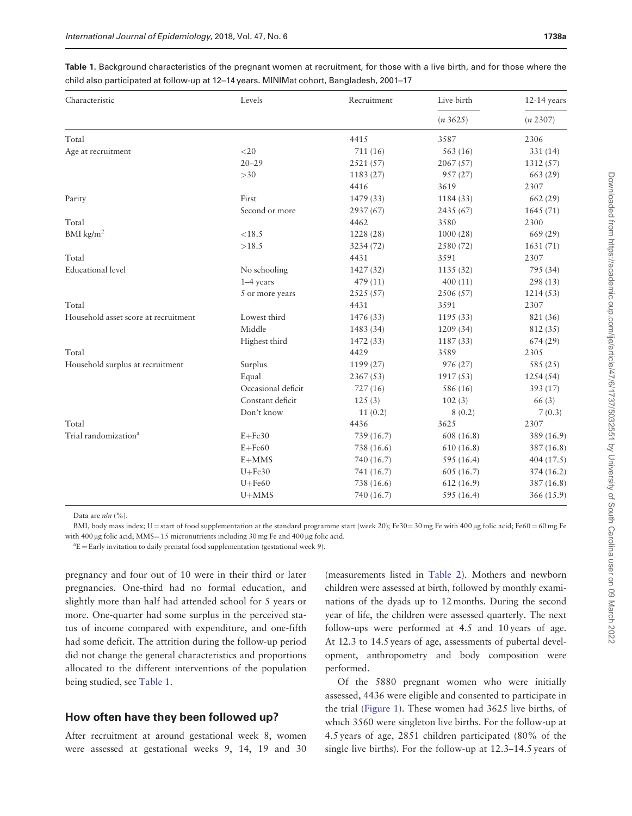| Characteristic                       | Levels             | Recruitment | Live birth | $12-14$ years<br>(n 2307) |  |
|--------------------------------------|--------------------|-------------|------------|---------------------------|--|
|                                      |                    |             | (n3625)    |                           |  |
| Total                                |                    | 4415        | 3587       | 2306                      |  |
| Age at recruitment                   | $<$ 20             | 711 (16)    | 563(16)    | 331 (14)                  |  |
|                                      | $20 - 29$          | 2521(57)    | 2067(57)   | 1312 (57)                 |  |
|                                      | >30                | 1183 (27)   | 957(27)    | 663 (29)                  |  |
|                                      |                    | 4416        | 3619       | 2307                      |  |
| Parity                               | First              | 1479 (33)   | 1184 (33)  | 662(29)                   |  |
|                                      | Second or more     | 2937 (67)   | 2435 (67)  | 1645(71)                  |  |
| Total                                |                    | 4462        | 3580       | 2300                      |  |
| BMI $\text{kg/m}^2$                  | $<\!\!18.5$        | 1228 (28)   | 1000(28)   | 669 (29)                  |  |
|                                      | >18.5              | 3234 (72)   | 2580 (72)  | 1631 (71)                 |  |
| Total                                |                    | 4431        | 3591       | 2307                      |  |
| <b>Educational</b> level             | No schooling       | 1427 (32)   | 1135(32)   | 795 (34)                  |  |
|                                      | $1-4$ years        | 479 (11)    | 400(11)    | 298 (13)                  |  |
|                                      | 5 or more years    | 2525(57)    | 2506 (57)  | 1214(53)                  |  |
| Total                                |                    | 4431        | 3591       | 2307                      |  |
| Household asset score at recruitment | Lowest third       | 1476 (33)   | 1195(33)   | 821 (36)                  |  |
|                                      | Middle             | 1483 (34)   | 1209 (34)  | 812 (35)                  |  |
|                                      | Highest third      | 1472 (33)   | 1187(33)   | 674(29)                   |  |
| Total                                |                    | 4429        | 3589       | 2305                      |  |
| Household surplus at recruitment     | Surplus            | 1199 (27)   | 976 (27)   | 585 (25)                  |  |
|                                      | Equal              | 2367(53)    | 1917(53)   | 1254(54)                  |  |
|                                      | Occasional deficit | 727(16)     | 586 (16)   | 393 (17)                  |  |
|                                      | Constant deficit   | 125(3)      | 102(3)     | 66 (3)                    |  |
|                                      | Don't know         | 11(0.2)     | 8(0.2)     | 7(0.3)                    |  |
| Total                                |                    | 4436        | 3625       | 2307                      |  |
| Trial randomization <sup>a</sup>     | $E + Fe30$         | 739 (16.7)  | 608 (16.8) | 389 (16.9)                |  |
|                                      | $E + Fe60$         | 738 (16.6)  | 610(16.8)  | 387(16.8)                 |  |
|                                      | $E+MMS$            | 740 (16.7)  | 595 (16.4) | 404(17.5)                 |  |
|                                      | $U + Fe30$         | 741 (16.7)  | 605(16.7)  | 374 (16.2)                |  |
|                                      | $U + Fe60$         | 738 (16.6)  | 612(16.9)  | 387 (16.8)                |  |
|                                      | $U+MMS$            | 740 (16.7)  | 595 (16.4) | 366 (15.9)                |  |

<span id="page-4-0"></span>Table 1. Background characteristics of the pregnant women at recruitment, for those with a live birth, and for those where the child also participated at follow-up at 12–14 years. MINIMat cohort, Bangladesh, 2001–17

Data are  $n/n$  (%).

BMI, body mass index; U = start of food supplementation at the standard programme start (week 20); Fe30 = 30 mg Fe with 400 µg folic acid; Fe60 = 60 mg Fe with 400 µg folic acid;  $MMS = 15$  micronutrients including 30 mg Fe and 400 µg folic acid.

 ${}^{a}E =$  Early invitation to daily prenatal food supplementation (gestational week 9).

pregnancy and four out of 10 were in their third or later pregnancies. One-third had no formal education, and slightly more than half had attended school for 5 years or more. One-quarter had some surplus in the perceived status of income compared with expenditure, and one-fifth had some deficit. The attrition during the follow-up period did not change the general characteristics and proportions allocated to the different interventions of the population being studied, see Table 1.

#### How often have they been followed up?

After recruitment at around gestational week 8, women were assessed at gestational weeks 9, 14, 19 and 30 (measurements listed in [Table 2](#page-5-0)). Mothers and newborn children were assessed at birth, followed by monthly examinations of the dyads up to 12 months. During the second year of life, the children were assessed quarterly. The next follow-ups were performed at 4.5 and 10 years of age. At 12.3 to 14.5 years of age, assessments of pubertal development, anthropometry and body composition were performed.

Of the 5880 pregnant women who were initially assessed, 4436 were eligible and consented to participate in the trial [\(Figure 1](#page-3-0)). These women had 3625 live births, of which 3560 were singleton live births. For the follow-up at 4.5 years of age, 2851 children participated (80% of the single live births). For the follow-up at 12.3–14.5 years of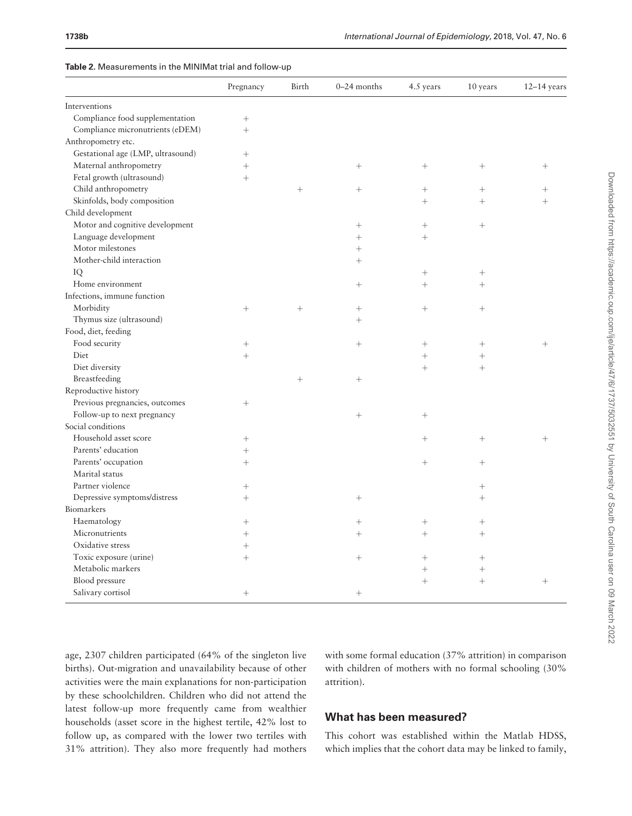<span id="page-5-0"></span>

|  | Table 2. Measurements in the MINIMat trial and follow-up |
|--|----------------------------------------------------------|
|--|----------------------------------------------------------|

|                                   | Pregnancy | Birth  | 0-24 months     | 4.5 years         | 10 years | $12-14$ years |
|-----------------------------------|-----------|--------|-----------------|-------------------|----------|---------------|
| Interventions                     |           |        |                 |                   |          |               |
| Compliance food supplementation   | $^{+}$    |        |                 |                   |          |               |
| Compliance micronutrients (eDEM)  | $^{+}$    |        |                 |                   |          |               |
| Anthropometry etc.                |           |        |                 |                   |          |               |
| Gestational age (LMP, ultrasound) | $^{+}$    |        |                 |                   |          |               |
| Maternal anthropometry            | $^{+}$    |        | $+$             | $^{+}$            |          | $^{+}$        |
| Fetal growth (ultrasound)         | $^{+}$    |        |                 |                   |          |               |
| Child anthropometry               |           | $+$    | $+$             | $^{+}$            | $^{+}$   | $^+$          |
| Skinfolds, body composition       |           |        |                 | $^{+}$            | $^{+}$   | $^{+}$        |
| Child development                 |           |        |                 |                   |          |               |
| Motor and cognitive development   |           |        |                 |                   |          |               |
| Language development              |           |        | $+$             | $+$               |          |               |
| Motor milestones                  |           |        | $+$             |                   |          |               |
| Mother-child interaction          |           |        | $+$             |                   |          |               |
| IQ                                |           |        |                 |                   | $^{+}$   |               |
| Home environment                  |           |        | $\! + \!\!\!\!$ | $^{+}$            | $^{+}$   |               |
| Infections, immune function       |           |        |                 |                   |          |               |
| Morbidity                         | $^{+}$    | $^{+}$ |                 | $+$               | $^{+}$   |               |
| Thymus size (ultrasound)          |           |        | $+$             |                   |          |               |
| Food, diet, feeding               |           |        |                 |                   |          |               |
| Food security                     | $^{+}$    |        | $\! + \!\!\!\!$ |                   |          | $^{+}$        |
| Diet                              | $^{+}$    |        |                 | $\qquad \qquad +$ |          |               |
| Diet diversity                    |           |        |                 | $+$               | $^{+}$   |               |
| Breastfeeding                     |           |        | $\! + \!\!\!\!$ |                   |          |               |
| Reproductive history              |           |        |                 |                   |          |               |
| Previous pregnancies, outcomes    |           |        |                 |                   |          |               |
| Follow-up to next pregnancy       |           |        | $+$             | $^{+}$            |          |               |
| Social conditions                 |           |        |                 |                   |          |               |
| Household asset score             | $^{+}$    |        |                 | $^{+}$            |          | $^{+}$        |
| Parents' education                |           |        |                 |                   |          |               |
| Parents' occupation               | $+$       |        |                 | $+$               | $^{+}$   |               |
| Marital status                    |           |        |                 |                   |          |               |
| Partner violence                  | $^{+}$    |        |                 |                   | $^{+}$   |               |
| Depressive symptoms/distress      | $^{+}$    |        | $\! + \!\!\!\!$ |                   | $^{+}$   |               |
| Biomarkers                        |           |        |                 |                   |          |               |
| Haematology                       | $^{+}$    |        | $+$             | $^{+}$            | $^{+}$   |               |
| Micronutrients                    | $^{+}$    |        | $^{+}$          | $^{+}$            | $^{+}$   |               |
| Oxidative stress                  | $^{+}$    |        |                 |                   |          |               |
| Toxic exposure (urine)            | $^{+}$    |        | $\! + \!\!\!\!$ |                   | $^{+}$   |               |
| Metabolic markers                 |           |        |                 | $^{+}$            |          |               |
| Blood pressure                    |           |        |                 | $^{+}$            | $^{+}$   | $^{+}$        |
| Salivary cortisol                 | $+$       |        | $+$             |                   |          |               |

age, 2307 children participated (64% of the singleton live births). Out-migration and unavailability because of other activities were the main explanations for non-participation by these schoolchildren. Children who did not attend the latest follow-up more frequently came from wealthier households (asset score in the highest tertile, 42% lost to follow up, as compared with the lower two tertiles with 31% attrition). They also more frequently had mothers with some formal education (37% attrition) in comparison with children of mothers with no formal schooling (30% attrition).

## What has been measured?

This cohort was established within the Matlab HDSS, which implies that the cohort data may be linked to family,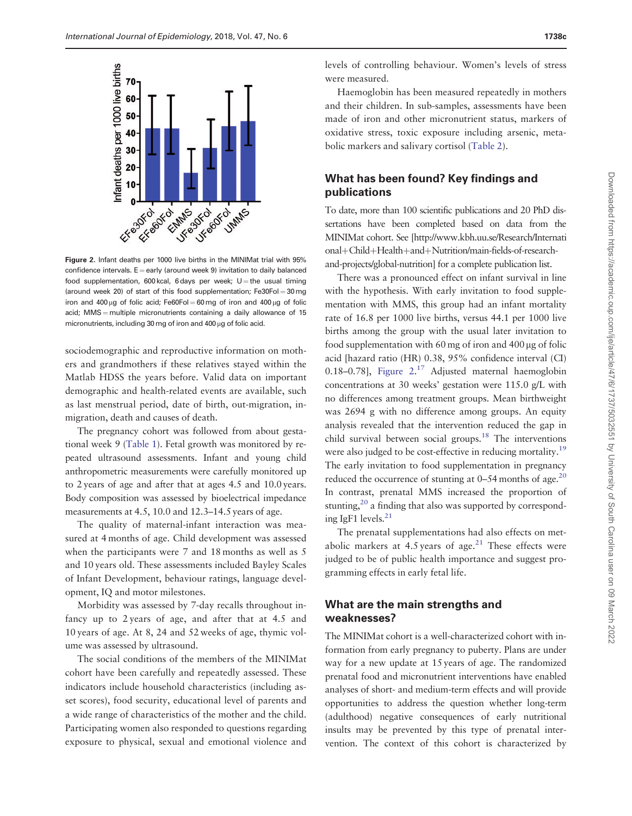<span id="page-6-0"></span>

Figure 2. Infant deaths per 1000 live births in the MINIMat trial with 95% confidence intervals.  $E =$  early (around week 9) invitation to daily balanced food supplementation, 600 kcal, 6 days per week;  $U =$  the usual timing (around week 20) of start of this food supplementation;  $Fe30Fol = 30mg$ iron and 400  $\mu$ g of folic acid; Fe60Fol = 60 mg of iron and 400  $\mu$ g of folic acid; MMS = multiple micronutrients containing a daily allowance of 15 micronutrients, including 30 mg of iron and 400  $\mu$ g of folic acid.

sociodemographic and reproductive information on mothers and grandmothers if these relatives stayed within the Matlab HDSS the years before. Valid data on important demographic and health-related events are available, such as last menstrual period, date of birth, out-migration, inmigration, death and causes of death.

The pregnancy cohort was followed from about gestational week 9 [\(Table 1](#page-4-0)). Fetal growth was monitored by repeated ultrasound assessments. Infant and young child anthropometric measurements were carefully monitored up to 2 years of age and after that at ages 4.5 and 10.0 years. Body composition was assessed by bioelectrical impedance measurements at 4.5, 10.0 and 12.3–14.5 years of age.

The quality of maternal-infant interaction was measured at 4 months of age. Child development was assessed when the participants were 7 and 18 months as well as 5 and 10 years old. These assessments included Bayley Scales of Infant Development, behaviour ratings, language development, IQ and motor milestones.

Morbidity was assessed by 7-day recalls throughout infancy up to 2 years of age, and after that at 4.5 and 10 years of age. At 8, 24 and 52 weeks of age, thymic volume was assessed by ultrasound.

The social conditions of the members of the MINIMat cohort have been carefully and repeatedly assessed. These indicators include household characteristics (including asset scores), food security, educational level of parents and a wide range of characteristics of the mother and the child. Participating women also responded to questions regarding exposure to physical, sexual and emotional violence and levels of controlling behaviour. Women's levels of stress were measured.

Haemoglobin has been measured repeatedly in mothers and their children. In sub-samples, assessments have been made of iron and other micronutrient status, markers of oxidative stress, toxic exposure including arsenic, metabolic markers and salivary cortisol ([Table 2\)](#page-5-0).

### What has been found? Key findings and publications

To date, more than 100 scientific publications and 20 PhD dissertations have been completed based on data from the MINIMat cohort. See [\[http://www.kbh.uu.se/Research/Internati](http://www.kbh.uu.se/Research/International+Child+Health+and+Nutrition/main-fields-of-research-and-projects/global-nutrition]) [onal](http://www.kbh.uu.se/Research/International+Child+Health+and+Nutrition/main-fields-of-research-and-projects/global-nutrition])+[Child](http://www.kbh.uu.se/Research/International+Child+Health+and+Nutrition/main-fields-of-research-and-projects/global-nutrition])+[Health](http://www.kbh.uu.se/Research/International+Child+Health+and+Nutrition/main-fields-of-research-and-projects/global-nutrition])+[and](http://www.kbh.uu.se/Research/International+Child+Health+and+Nutrition/main-fields-of-research-and-projects/global-nutrition])+[Nutrition/main-fields-of-research](http://www.kbh.uu.se/Research/International+Child+Health+and+Nutrition/main-fields-of-research-and-projects/global-nutrition])[and-projects/global-nutrition\]](http://www.kbh.uu.se/Research/International+Child+Health+and+Nutrition/main-fields-of-research-and-projects/global-nutrition]) for a complete publication list.

There was a pronounced effect on infant survival in line with the hypothesis. With early invitation to food supplementation with MMS, this group had an infant mortality rate of 16.8 per 1000 live births, versus 44.1 per 1000 live births among the group with the usual later invitation to food supplementation with 60 mg of iron and  $400 \mu$ g of folic acid [hazard ratio (HR) 0.38, 95% confidence interval (CI) 0.18-0.78], Figure 2.<sup>[17](#page-8-0)</sup> Adjusted maternal haemoglobin concentrations at 30 weeks' gestation were 115.0 g/L with no differences among treatment groups. Mean birthweight was 2694 g with no difference among groups. An equity analysis revealed that the intervention reduced the gap in child survival between social groups.<sup>[18](#page-8-0)</sup> The interventions were also judged to be cost-effective in reducing mortality.<sup>[19](#page-8-0)</sup> The early invitation to food supplementation in pregnancy reduced the occurrence of stunting at  $0-54$  months of age.<sup>[20](#page-8-0)</sup> In contrast, prenatal MMS increased the proportion of stunting, $^{20}$  a finding that also was supported by correspond-ing IgF1 levels.<sup>[21](#page-8-0)</sup>

The prenatal supplementations had also effects on metabolic markers at 4.5 years of age. $21$  These effects were judged to be of public health importance and suggest programming effects in early fetal life.

#### What are the main strengths and weaknesses?

The MINIMat cohort is a well-characterized cohort with information from early pregnancy to puberty. Plans are under way for a new update at 15 years of age. The randomized prenatal food and micronutrient interventions have enabled analyses of short- and medium-term effects and will provide opportunities to address the question whether long-term (adulthood) negative consequences of early nutritional insults may be prevented by this type of prenatal intervention. The context of this cohort is characterized by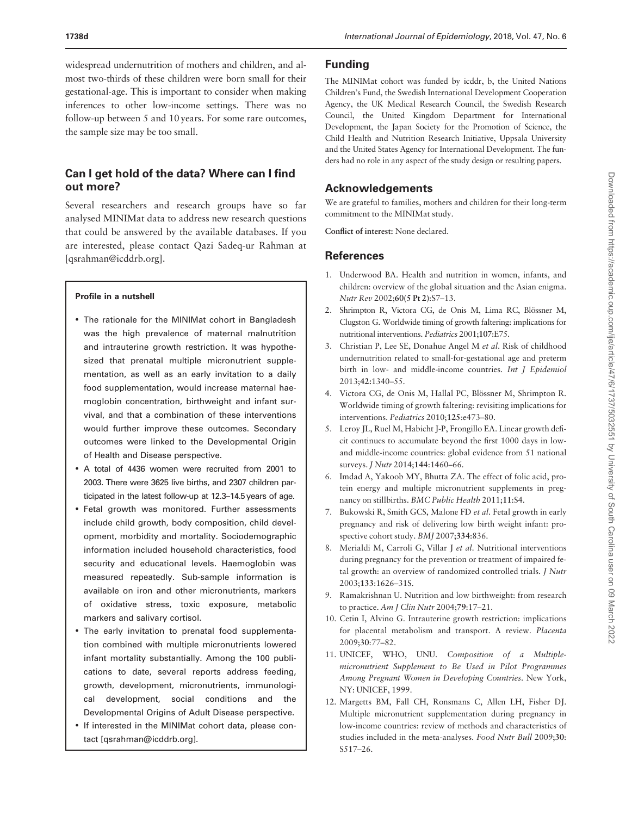<span id="page-7-0"></span>widespread undernutrition of mothers and children, and almost two-thirds of these children were born small for their gestational-age. This is important to consider when making inferences to other low-income settings. There was no follow-up between 5 and 10 years. For some rare outcomes, the sample size may be too small.

## Can I get hold of the data? Where can I find out more?

Several researchers and research groups have so far analysed MINIMat data to address new research questions that could be answered by the available databases. If you are interested, please contact Qazi Sadeq-ur Rahman at [qsrahman@icddrb.org].

#### Profile in a nutshell

- The rationale for the MINIMat cohort in Bangladesh was the high prevalence of maternal malnutrition and intrauterine growth restriction. It was hypothesized that prenatal multiple micronutrient supplementation, as well as an early invitation to a daily food supplementation, would increase maternal haemoglobin concentration, birthweight and infant survival, and that a combination of these interventions would further improve these outcomes. Secondary outcomes were linked to the Developmental Origin of Health and Disease perspective.
- A total of 4436 women were recruited from 2001 to 2003. There were 3625 live births, and 2307 children participated in the latest follow-up at 12.3–14.5 years of age.
- Fetal growth was monitored. Further assessments include child growth, body composition, child development, morbidity and mortality. Sociodemographic information included household characteristics, food security and educational levels. Haemoglobin was measured repeatedly. Sub-sample information is available on iron and other micronutrients, markers of oxidative stress, toxic exposure, metabolic markers and salivary cortisol.
- The early invitation to prenatal food supplementation combined with multiple micronutrients lowered infant mortality substantially. Among the 100 publications to date, several reports address feeding, growth, development, micronutrients, immunological development, social conditions and the Developmental Origins of Adult Disease perspective.
- If interested in the MINIMat cohort data, please contact [qsrahman@icddrb.org].

#### Funding

The MINIMat cohort was funded by icddr, b, the United Nations Children's Fund, the Swedish International Development Cooperation Agency, the UK Medical Research Council, the Swedish Research Council, the United Kingdom Department for International Development, the Japan Society for the Promotion of Science, the Child Health and Nutrition Research Initiative, Uppsala University and the United States Agency for International Development. The funders had no role in any aspect of the study design or resulting papers.

## Acknowledgements

We are grateful to families, mothers and children for their long-term commitment to the MINIMat study.

Conflict of interest: None declared.

#### **References**

- [1.](#page-2-0) Underwood BA. Health and nutrition in women, infants, and children: overview of the global situation and the Asian enigma. Nutr Rev 2002;60(5 Pt 2):S7–13.
- 2. Shrimpton R, Victora CG, de Onis M, Lima RC, Blössner M, Clugston G. Worldwide timing of growth faltering: implications for nutritional interventions. Pediatrics 2001;107:E75.
- 3. Christian P, Lee SE, Donahue Angel M et al. Risk of childhood undernutrition related to small-for-gestational age and preterm birth in low- and middle-income countries. Int J Epidemiol 2013;42:1340–55.
- 4. Victora CG, de Onis M, Hallal PC, Blössner M, Shrimpton R. Worldwide timing of growth faltering: revisiting implications for interventions. Pediatrics 2010;125:e473–80.
- [5.](#page-2-0) Leroy JL, Ruel M, Habicht J-P, Frongillo EA. Linear growth deficit continues to accumulate beyond the first 1000 days in lowand middle-income countries: global evidence from 51 national surveys. J Nutr 2014;144:1460–66.
- [6.](#page-2-0) Imdad A, Yakoob MY, Bhutta ZA. The effect of folic acid, protein energy and multiple micronutrient supplements in pregnancy on stillbirths. BMC Public Health 2011;11:S4.
- 7. Bukowski R, Smith GCS, Malone FD et al. Fetal growth in early pregnancy and risk of delivering low birth weight infant: prospective cohort study. BMJ 2007;334:836.
- 8. Merialdi M, Carroli G, Villar J et al. Nutritional interventions during pregnancy for the prevention or treatment of impaired fetal growth: an overview of randomized controlled trials. J Nutr 2003;133:1626–31S.
- 9. Ramakrishnan U. Nutrition and low birthweight: from research to practice. Am J Clin Nutr 2004;79:17-21.
- 10. Cetin I, Alvino G. Intrauterine growth restriction: implications for placental metabolism and transport. A review. Placenta 2009;30:77–82.
- [11.](#page-2-0) UNICEF, WHO, UNU. Composition of a Multiplemicronutrient Supplement to Be Used in Pilot Programmes Among Pregnant Women in Developing Countries. New York, NY: UNICEF, 1999.
- [12.](#page-2-0) Margetts BM, Fall CH, Ronsmans C, Allen LH, Fisher DJ. Multiple micronutrient supplementation during pregnancy in low-income countries: review of methods and characteristics of studies included in the meta-analyses. Food Nutr Bull 2009;30: S517–26.